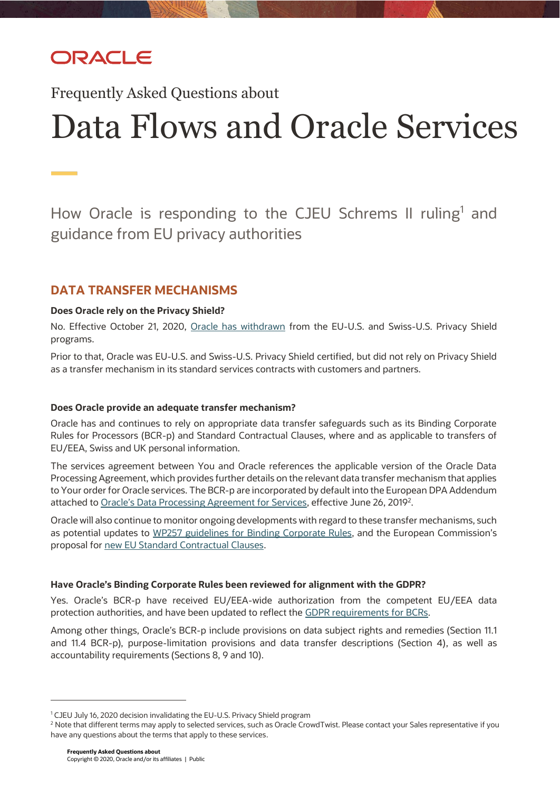## ORACLE

Frequently Asked Questions about

# Data Flows and Oracle Services

How Oracle is responding to the CJEU Schrems II ruling<sup>1</sup> and guidance from EU privacy authorities

## **DATA TRANSFER MECHANISMS**

## **Does Oracle rely on the Privacy Shield?**

No. Effective October 21, 2020, [Oracle has withdrawn](https://www.oracle.com/a/ocom/docs/corporate/privacy-shield-withdraw-statement.pdf) from the EU-U.S. and Swiss-U.S. Privacy Shield programs.

Prior to that, Oracle was EU-U.S. and Swiss-U.S. Privacy Shield certified, but did not rely on Privacy Shield as a transfer mechanism in its standard services contracts with customers and partners.

## **Does Oracle provide an adequate transfer mechanism?**

Oracle has and continues to rely on appropriate data transfer safeguards such as its Binding Corporate Rules for Processors (BCR-p) and Standard Contractual Clauses, where and as applicable to transfers of EU/EEA, Swiss and UK personal information.

The services agreement between You and Oracle references the applicable version of the Oracle Data Processing Agreement, which provides further details on the relevant data transfer mechanism that applies to Your order for Oracle services. The BCR-p are incorporated by default into the European DPA Addendum attached to [Oracle's Data Processing Agreement for Services](https://www.oracle.com/a/ocom/docs/corporate/data-processing-agreement-062619.pdf), effective June 26, 2019<sup>2</sup>.

Oracle will also continue to monitor ongoing developments with regard to these transfer mechanisms, such as potential updates to [WP257 guidelines for Binding Corporate Rules,](https://edpb.europa.eu/our-work-tools/public-consultations-art-704/2020/recommendations-012020-measures-supplement-transfer_en) and the European Commission's proposal for [new EU Standard Contractual Clauses.](https://ec.europa.eu/info/law/better-regulation/have-your-say/initiatives/12741-Commission-Implementing-Decision-on-standard-contractual-clauses-for-the-transfer-of-personal-data-to-third-countries)

## **Have Oracle's Binding Corporate Rules been reviewed for alignment with the GDPR?**

Yes. Oracle's BCR-p have received EU/EEA-wide authorization from the competent EU/EEA data protection authorities, and have been updated to reflect th[e GDPR requirements for BCRs.](https://ec.europa.eu/newsroom/article29/item-detail.cfm?item_id=614110)

Among other things, Oracle's BCR-p include provisions on data subject rights and remedies (Section 11.1 and 11.4 BCR-p), purpose-limitation provisions and data transfer descriptions (Section 4), as well as accountability requirements (Sections 8, 9 and 10).

.

<sup>&</sup>lt;sup>1</sup> CJEU July 16, 2020 decision invalidating the EU-U.S. Privacy Shield program

<sup>&</sup>lt;sup>2</sup> Note that different terms may apply to selected services, such as Oracle CrowdTwist. Please contact your Sales representative if you have any questions about the terms that apply to these services.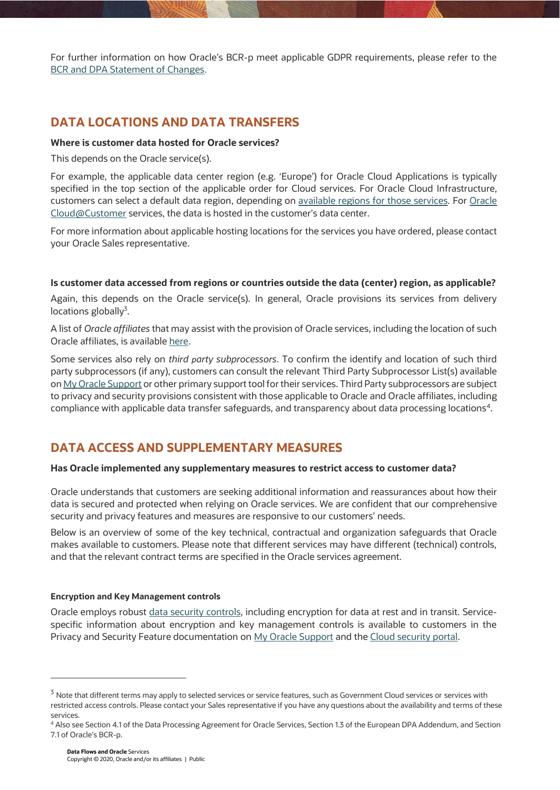For further information on how Oracle's BCR-p meet applicable GDPR requirements, please refer to the [BCR and DPA Statement of Changes.](https://www.oracle.com/corporate/contracts/cloud-services/contracts.html#data-processing)

## **DATA LOCATIONS AND DATA TRANSFERS**

## **Where is customer data hosted for Oracle services?**

This depends on the Oracle service(s).

For example, the applicable data center region (e.g. 'Europe') for Oracle Cloud Applications is typically specified in the top section of the applicable order for Cloud services. For Oracle Cloud Infrastructure, customers can select a default data region, depending on [available regions for those](https://www.oracle.com/uk/cloud/data-regions.html#emea) services. For [Oracle](https://www.oracle.com/uk/cloud/cloud-at-customer/)  [Cloud@Customer](https://www.oracle.com/uk/cloud/cloud-at-customer/) services, the data is hosted in the customer's data center.

For more information about applicable hosting locations for the services you have ordered, please contact your Oracle Sales representative.

## **Is customer data accessed from regions or countries outside the data (center) region, as applicable?**

Again, this depends on the Oracle service(s). In general, Oracle provisions its services from delivery locations globally<sup>3</sup>.

A list of *Oracle affiliates* that may assist with the provision of Oracle services, including the location of such Oracle affiliates, is available here.

Some services also rely on *third party subprocessors*. To confirm the identify and location of such third party subprocessors (if any), customers can consult the relevant Third Party Subprocessor List(s) available o[n My Oracle Support](file:///C:/Users/kmeul/AppData/Local/Microsoft/Windows/INetCache/Content.Outlook/BMH3QYJ5/support.oracle.com) or other primary support tool for their services. Third Party subprocessors are subject to privacy and security provisions consistent with those applicable to Oracle and Oracle affiliates, including compliance with applicable data transfer safeguards, and transparency about data processing locations<sup>4</sup>.

## **DATA ACCESS AND SUPPLEMENTARY MEASURES**

## **Has Oracle implemented any supplementary measures to restrict access to customer data?**

Oracle understands that customers are seeking additional information and reassurances about how their data is secured and protected when relying on Oracle services. We are confident that our comprehensive security and privacy features and measures are responsive to our customers' needs.

Below is an overview of some of the key technical, contractual and organization safeguards that Oracle makes available to customers. Please note that different services may have different (technical) controls, and that the relevant contract terms are specified in the Oracle services agreement.

#### **Encryption and Key Management controls**

Oracle employs robust *data security controls*, including encryption for data at rest and in transit. Servicespecific information about encryption and key management controls is available to customers in the Privacy and Security Feature documentation on [My Oracle Support](file:///C:/Users/kmeul/AppData/Local/Microsoft/Windows/INetCache/Content.Outlook/BMH3QYJ5/support.oracle.com) and the [Cloud security portal.](https://www.oracle.com/uk/security/)

.

<sup>&</sup>lt;sup>3</sup> Note that different terms may apply to selected services or service features, such as Government Cloud services or services with restricted access controls. Please contact your Sales representative if you have any questions about the availability and terms of these services.

<sup>4</sup> Also see Section 4.1 of the Data Processing Agreement for Oracle Services, Section 1.3 of the European DPA Addendum, and Section 7.1 of Oracle's BCR-p.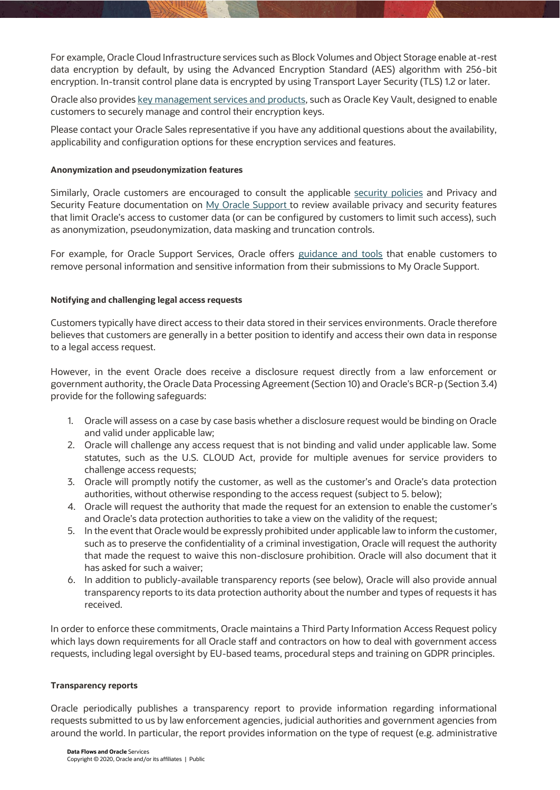For example, Oracle Cloud Infrastructure services such as Block Volumes and Object Storage enable at-rest data encryption by default, by using the Advanced Encryption Standard (AES) algorithm with 256-bit encryption. In-transit control plane data is encrypted by using Transport Layer Security (TLS) 1.2 or later.

Oracle also provide[s key management services and products,](https://www.oracle.com/security/cloud-security/key-management/faq/) such as Oracle Key Vault, designed to enable customers to securely manage and control their encryption keys.

Please contact your Oracle Sales representative if you have any additional questions about the availability, applicability and configuration options for these encryption services and features.

### **Anonymization and pseudonymization features**

Similarly, Oracle customers are encouraged to consult the applicable [security policies](https://www.oracle.com/corporate/contracts/cloud-services/contracts.html) and Privacy and Security Feature documentation on [My Oracle Support](file:///C:/Users/kmeul/AppData/Local/Microsoft/Windows/INetCache/Content.Outlook/BMH3QYJ5/support.oracle.com) to review available privacy and security features that limit Oracle's access to customer data (or can be configured by customers to limit such access), such as anonymization, pseudonymization, data masking and truncation controls.

For example, for Oracle Support Services, Oracle offers [guidance and tools](https://support.oracle.com/CSP/main/article?cmd=show&type=NOT&id=1227943.1) that enable customers to remove personal information and sensitive information from their submissions to My Oracle Support.

## **Notifying and challenging legal access requests**

Customers typically have direct access to their data stored in their services environments. Oracle therefore believes that customers are generally in a better position to identify and access their own data in response to a legal access request.

However, in the event Oracle does receive a disclosure request directly from a law enforcement or government authority, the Oracle Data Processing Agreement (Section 10) and Oracle's BCR-p (Section 3.4) provide for the following safeguards:

- 1. Oracle will assess on a case by case basis whether a disclosure request would be binding on Oracle and valid under applicable law;
- 2. Oracle will challenge any access request that is not binding and valid under applicable law. Some statutes, such as the U.S. CLOUD Act, provide for multiple avenues for service providers to challenge access requests;
- 3. Oracle will promptly notify the customer, as well as the customer's and Oracle's data protection authorities, without otherwise responding to the access request (subject to 5. below);
- 4. Oracle will request the authority that made the request for an extension to enable the customer's and Oracle's data protection authorities to take a view on the validity of the request;
- 5. In the event that Oracle would be expressly prohibited under applicable law to inform the customer, such as to preserve the confidentiality of a criminal investigation, Oracle will request the authority that made the request to waive this non-disclosure prohibition. Oracle will also document that it has asked for such a waiver;
- 6. In addition to publicly-available transparency reports (see below), Oracle will also provide annual transparency reports to its data protection authority about the number and types of requests it has received.

In order to enforce these commitments, Oracle maintains a Third Party Information Access Request policy which lays down requirements for all Oracle staff and contractors on how to deal with government access requests, including legal oversight by EU-based teams, procedural steps and training on GDPR principles.

#### **Transparency reports**

Oracle periodically publishes a transparency report to provide information regarding informational requests submitted to us by law enforcement agencies, judicial authorities and government agencies from around the world. In particular, the report provides information on the type of request (e.g. administrative